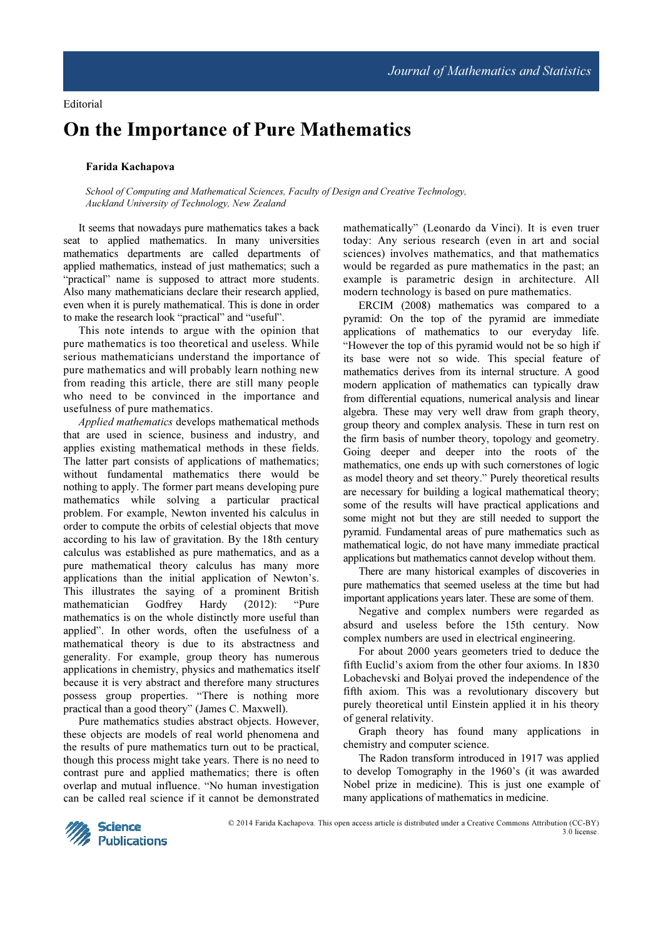## On the Importance of Pure Mathematics

## Farida Kachapova

School of Computing and Mathematical Sciences, Faculty of Design and Creative Technology, Auckland University of Technology, New Zealand

It seems that nowadays pure mathematics takes a back seat to applied mathematics. In many universities mathematics departments are called departments of applied mathematics, instead of just mathematics; such a "practical" name is supposed to attract more students. Also many mathematicians declare their research applied, even when it is purely mathematical. This is done in order to make the research look "practical" and "useful".

This note intends to argue with the opinion that pure mathematics is too theoretical and useless. While serious mathematicians understand the importance of pure mathematics and will probably learn nothing new from reading this article, there are still many people who need to be convinced in the importance and usefulness of pure mathematics.

Applied mathematics develops mathematical methods that are used in science, business and industry, and applies existing mathematical methods in these fields. The latter part consists of applications of mathematics; without fundamental mathematics there would be nothing to apply. The former part means developing pure mathematics while solving a particular practical problem. For example, Newton invented his calculus in order to compute the orbits of celestial objects that move according to his law of gravitation. By the 18th century calculus was established as pure mathematics, and as a pure mathematical theory calculus has many more applications than the initial application of Newton's. This illustrates the saying of a prominent British mathematician Godfrey Hardy (2012): "Pure mathematics is on the whole distinctly more useful than applied". In other words, often the usefulness of a mathematical theory is due to its abstractness and generality. For example, group theory has numerous applications in chemistry, physics and mathematics itself because it is very abstract and therefore many structures possess group properties. "There is nothing more practical than a good theory" (James C. Maxwell).

Pure mathematics studies abstract objects. However, these objects are models of real world phenomena and the results of pure mathematics turn out to be practical, though this process might take years. There is no need to contrast pure and applied mathematics; there is often overlap and mutual influence. "No human investigation can be called real science if it cannot be demonstrated mathematically" (Leonardo da Vinci). It is even truer today: Any serious research (even in art and social sciences) involves mathematics, and that mathematics would be regarded as pure mathematics in the past; an example is parametric design in architecture. All modern technology is based on pure mathematics.

ERCIM (2008) mathematics was compared to a pyramid: On the top of the pyramid are immediate applications of mathematics to our everyday life. "However the top of this pyramid would not be so high if its base were not so wide. This special feature of mathematics derives from its internal structure. A good modern application of mathematics can typically draw from differential equations, numerical analysis and linear algebra. These may very well draw from graph theory, group theory and complex analysis. These in turn rest on the firm basis of number theory, topology and geometry. Going deeper and deeper into the roots of the mathematics, one ends up with such cornerstones of logic as model theory and set theory." Purely theoretical results are necessary for building a logical mathematical theory; some of the results will have practical applications and some might not but they are still needed to support the pyramid. Fundamental areas of pure mathematics such as mathematical logic, do not have many immediate practical applications but mathematics cannot develop without them.

There are many historical examples of discoveries in pure mathematics that seemed useless at the time but had important applications years later. These are some of them.

Negative and complex numbers were regarded as absurd and useless before the 15th century. Now complex numbers are used in electrical engineering.

For about 2000 years geometers tried to deduce the fifth Euclid's axiom from the other four axioms. In 1830 Lobachevski and Bolyai proved the independence of the fifth axiom. This was a revolutionary discovery but purely theoretical until Einstein applied it in his theory of general relativity.

Graph theory has found many applications in chemistry and computer science.

The Radon transform introduced in 1917 was applied to develop Tomography in the 1960's (it was awarded Nobel prize in medicine). This is just one example of many applications of mathematics in medicine.



© 2014 Farida Kachapova. This open access article is distributed under a Creative Commons Attribution (CC-BY) 3.0 license.